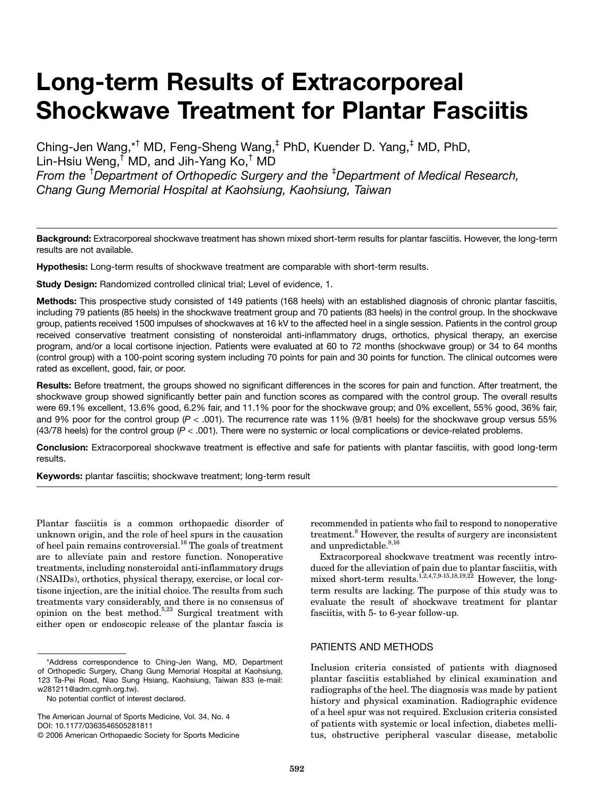# **Long-term Results of Extracorporeal Shockwave Treatment for Plantar Fasciitis**

Ching-Jen Wang,\*† MD, Feng-Sheng Wang,‡ PhD, Kuender D. Yang,‡ MD, PhD, Lin-Hsiu Weng,† MD, and Jih-Yang Ko,† MD *From the* † *Department of Orthopedic Surgery and the* ‡ *Department of Medical Research, Chang Gung Memorial Hospital at Kaohsiung, Kaohsiung, Taiwan*

**Background:** Extracorporeal shockwave treatment has shown mixed short-term results for plantar fasciitis. However, the long-term results are not available.

**Hypothesis:** Long-term results of shockwave treatment are comparable with short-term results.

**Study Design:** Randomized controlled clinical trial; Level of evidence, 1.

**Methods:** This prospective study consisted of 149 patients (168 heels) with an established diagnosis of chronic plantar fasciitis, including 79 patients (85 heels) in the shockwave treatment group and 70 patients (83 heels) in the control group. In the shockwave group, patients received 1500 impulses of shockwaves at 16 kV to the affected heel in a single session. Patients in the control group received conservative treatment consisting of nonsteroidal anti-inflammatory drugs, orthotics, physical therapy, an exercise program, and/or a local cortisone injection. Patients were evaluated at 60 to 72 months (shockwave group) or 34 to 64 months (control group) with a 100-point scoring system including 70 points for pain and 30 points for function. The clinical outcomes were rated as excellent, good, fair, or poor.

**Results:** Before treatment, the groups showed no significant differences in the scores for pain and function. After treatment, the shockwave group showed significantly better pain and function scores as compared with the control group. The overall results were 69.1% excellent, 13.6% good, 6.2% fair, and 11.1% poor for the shockwave group; and 0% excellent, 55% good, 36% fair, and 9% poor for the control group (*P* < .001). The recurrence rate was 11% (9/81 heels) for the shockwave group versus 55% (43/78 heels) for the control group (*P* < .001). There were no systemic or local complications or device-related problems.

**Conclusion:** Extracorporeal shockwave treatment is effective and safe for patients with plantar fasciitis, with good long-term results.

**Keywords:** plantar fasciitis; shockwave treatment; long-term result

Plantar fasciitis is a common orthopaedic disorder of unknown origin, and the role of heel spurs in the causation of heel pain remains controversial.<sup>16</sup> The goals of treatment are to alleviate pain and restore function. Nonoperative treatments, including nonsteroidal anti-inflammatory drugs (NSAIDs), orthotics, physical therapy, exercise, or local cortisone injection, are the initial choice. The results from such treatments vary considerably, and there is no consensus of opinion on the best method.<sup>5,23</sup> Surgical treatment with either open or endoscopic release of the plantar fascia is

The American Journal of Sports Medicine, Vol. 34, No. 4 DOI: 10.1177/0363546505281811

recommended in patients who fail to respond to nonoperative treatment.<sup>8</sup> However, the results of surgery are inconsistent and unpredictable. $8,16$ 

Extracorporeal shockwave treatment was recently introduced for the alleviation of pain due to plantar fasciitis, with mixed short-term results.<sup>1,2,4,7,9-15,18,19,22</sup> However, the longterm results are lacking. The purpose of this study was to evaluate the result of shockwave treatment for plantar fasciitis, with 5- to 6-year follow-up.

# PATIENTS AND METHODS

Inclusion criteria consisted of patients with diagnosed plantar fasciitis established by clinical examination and radiographs of the heel. The diagnosis was made by patient history and physical examination. Radiographic evidence of a heel spur was not required. Exclusion criteria consisted of patients with systemic or local infection, diabetes mellitus, obstructive peripheral vascular disease, metabolic

<sup>\*</sup>Address correspondence to Ching-Jen Wang, MD, Department of Orthopedic Surgery, Chang Gung Memorial Hospital at Kaohsiung, 123 Ta-Pei Road, Niao Sung Hsiang, Kaohsiung, Taiwan 833 (e-mail: w281211@adm.cgmh.org.tw).

No potential conflict of interest declared.

<sup>© 2006</sup> American Orthopaedic Society for Sports Medicine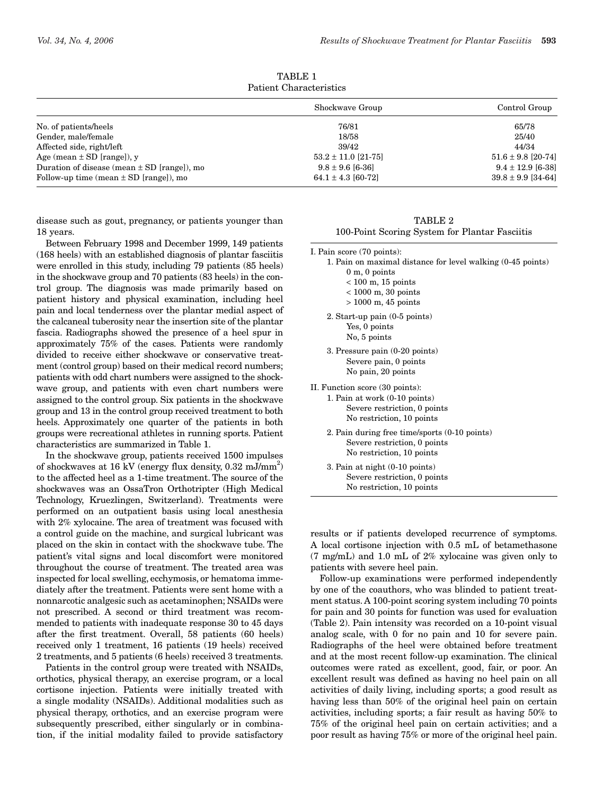| Taulun Onlahaudi istics                         |                         |                        |  |  |
|-------------------------------------------------|-------------------------|------------------------|--|--|
|                                                 | Shockwave Group         | Control Group          |  |  |
| No. of patients/heels                           | 76/81                   | 65/78                  |  |  |
| Gender, male/female                             | 18/58                   | 25/40                  |  |  |
| Affected side, right/left                       | 39/42                   | 44/34                  |  |  |
| Age (mean $\pm$ SD [range]), y                  | $53.2 \pm 11.0$ [21-75] | $51.6 \pm 9.8$ [20-74] |  |  |
| Duration of disease (mean $\pm$ SD [range]), mo | $9.8 \pm 9.6$ [6-36]    | $9.4 \pm 12.9$ [6-38]  |  |  |
| Follow-up time (mean $\pm$ SD [range]), mo      | 64.1 ± 4.3 [60-72]      | $39.8 \pm 9.9$ [34-64] |  |  |

TABLE 1 Patient Characteristics

disease such as gout, pregnancy, or patients younger than 18 years.

Between February 1998 and December 1999, 149 patients (168 heels) with an established diagnosis of plantar fasciitis were enrolled in this study, including 79 patients (85 heels) in the shockwave group and 70 patients (83 heels) in the control group. The diagnosis was made primarily based on patient history and physical examination, including heel pain and local tenderness over the plantar medial aspect of the calcaneal tuberosity near the insertion site of the plantar fascia. Radiographs showed the presence of a heel spur in approximately 75% of the cases. Patients were randomly divided to receive either shockwave or conservative treatment (control group) based on their medical record numbers; patients with odd chart numbers were assigned to the shockwave group, and patients with even chart numbers were assigned to the control group. Six patients in the shockwave group and 13 in the control group received treatment to both heels. Approximately one quarter of the patients in both groups were recreational athletes in running sports. Patient characteristics are summarized in Table 1.

In the shockwave group, patients received 1500 impulses of shockwaves at 16 kV (energy flux density, 0.32 mJ/mm<sup>2</sup>) to the affected heel as a 1-time treatment. The source of the shockwaves was an OssaTron Orthotripter (High Medical Technology, Kruezlingen, Switzerland). Treatments were performed on an outpatient basis using local anesthesia with 2% xylocaine. The area of treatment was focused with a control guide on the machine, and surgical lubricant was placed on the skin in contact with the shockwave tube. The patient's vital signs and local discomfort were monitored throughout the course of treatment. The treated area was inspected for local swelling, ecchymosis, or hematoma immediately after the treatment. Patients were sent home with a nonnarcotic analgesic such as acetaminophen; NSAIDs were not prescribed. A second or third treatment was recommended to patients with inadequate response 30 to 45 days after the first treatment. Overall, 58 patients (60 heels) received only 1 treatment, 16 patients (19 heels) received 2 treatments, and 5 patients (6 heels) received 3 treatments.

Patients in the control group were treated with NSAIDs, orthotics, physical therapy, an exercise program, or a local cortisone injection. Patients were initially treated with a single modality (NSAIDs). Additional modalities such as physical therapy, orthotics, and an exercise program were subsequently prescribed, either singularly or in combination, if the initial modality failed to provide satisfactory

TABLE 2 100-Point Scoring System for Plantar Fasciitis

I. Pain score (70 points):

| 1. Pain on maximal distance for level walking (0-45 points) |  |
|-------------------------------------------------------------|--|
| $0 \text{ m}$ , $0 \text{ points}$                          |  |

- $< 100$  m, 15 points
- < 1000 m, 30 points
- > 1000 m, 45 points
- 2. Start-up pain (0-5 points) Yes, 0 points No, 5 points
- 3. Pressure pain (0-20 points) Severe pain, 0 points No pain, 20 points

II. Function score (30 points):

- 1. Pain at work (0-10 points) Severe restriction, 0 points No restriction, 10 points
	- 2. Pain during free time/sports (0-10 points) Severe restriction, 0 points No restriction, 10 points

3. Pain at night (0-10 points) Severe restriction, 0 points No restriction, 10 points

results or if patients developed recurrence of symptoms. A local cortisone injection with 0.5 mL of betamethasone (7 mg/mL) and 1.0 mL of 2% xylocaine was given only to patients with severe heel pain.

Follow-up examinations were performed independently by one of the coauthors, who was blinded to patient treatment status. A 100-point scoring system including 70 points for pain and 30 points for function was used for evaluation (Table 2). Pain intensity was recorded on a 10-point visual analog scale, with 0 for no pain and 10 for severe pain. Radiographs of the heel were obtained before treatment and at the most recent follow-up examination. The clinical outcomes were rated as excellent, good, fair, or poor. An excellent result was defined as having no heel pain on all activities of daily living, including sports; a good result as having less than 50% of the original heel pain on certain activities, including sports; a fair result as having 50% to 75% of the original heel pain on certain activities; and a poor result as having 75% or more of the original heel pain.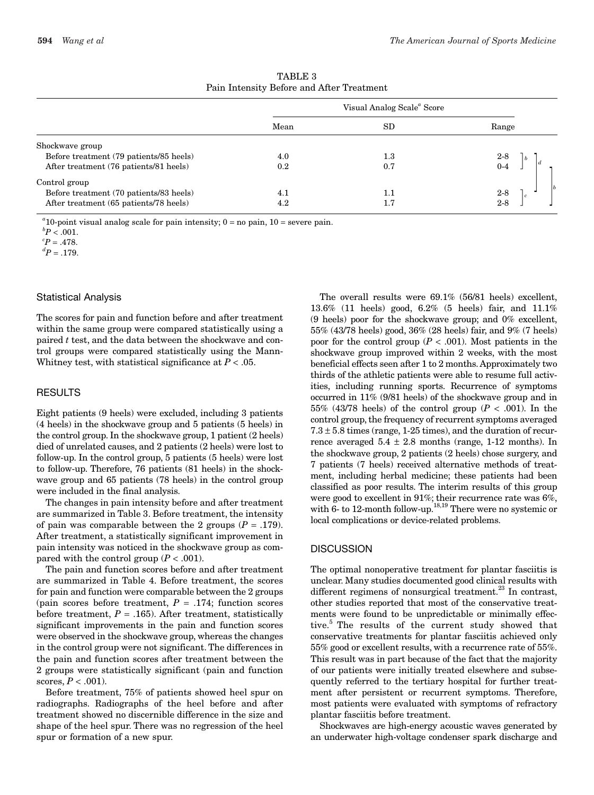|                                         | Visual Analog Scale <sup>"</sup> Score |         |            |
|-----------------------------------------|----------------------------------------|---------|------------|
|                                         | Mean                                   | SD      | Range      |
| Shockwave group                         |                                        |         |            |
| Before treatment (79 patients/85 heels) | 4.0                                    | $1.3\,$ |            |
| After treatment (76 patients/81 heels)  | 0.2                                    | 0.7     | 2-8<br>0-4 |
| Control group                           |                                        |         |            |
| Before treatment (70 patients/83 heels) | 4.1                                    | $1.1\,$ | $2-8$      |
| After treatment (65 patients/78 heels)  | 4.2                                    | 1.7     | $2 - 8$    |

TABLE 3 Pain Intensity Before and After Treatment

 $a<sup>a</sup>$ 10-point visual analog scale for pain intensity;  $0 =$  no pain,  $10 =$  severe pain.

 ${}^{c}P = .478.$ 

 ${}^{d}P = .179.$ 

## Statistical Analysis

The scores for pain and function before and after treatment within the same group were compared statistically using a paired *t* test, and the data between the shockwave and control groups were compared statistically using the Mann-Whitney test, with statistical significance at *P* < .05.

# **RESULTS**

Eight patients (9 heels) were excluded, including 3 patients (4 heels) in the shockwave group and 5 patients (5 heels) in the control group. In the shockwave group, 1 patient (2 heels) died of unrelated causes, and 2 patients (2 heels) were lost to follow-up. In the control group, 5 patients (5 heels) were lost to follow-up. Therefore, 76 patients (81 heels) in the shockwave group and 65 patients (78 heels) in the control group were included in the final analysis.

The changes in pain intensity before and after treatment are summarized in Table 3. Before treatment, the intensity of pain was comparable between the 2 groups  $(P = .179)$ . After treatment, a statistically significant improvement in pain intensity was noticed in the shockwave group as compared with the control group  $(P < .001)$ .

The pain and function scores before and after treatment are summarized in Table 4. Before treatment, the scores for pain and function were comparable between the 2 groups (pain scores before treatment,  $P = .174$ ; function scores before treatment,  $P = .165$ ). After treatment, statistically significant improvements in the pain and function scores were observed in the shockwave group, whereas the changes in the control group were not significant. The differences in the pain and function scores after treatment between the 2 groups were statistically significant (pain and function scores,  $P < .001$ ).

Before treatment, 75% of patients showed heel spur on radiographs. Radiographs of the heel before and after treatment showed no discernible difference in the size and shape of the heel spur. There was no regression of the heel spur or formation of a new spur.

The overall results were 69.1% (56/81 heels) excellent, 13.6% (11 heels) good, 6.2% (5 heels) fair, and 11.1% (9 heels) poor for the shockwave group; and 0% excellent, 55% (43/78 heels) good, 36% (28 heels) fair, and 9% (7 heels) poor for the control group  $(P < .001)$ . Most patients in the shockwave group improved within 2 weeks, with the most beneficial effects seen after 1 to 2 months.Approximately two thirds of the athletic patients were able to resume full activities, including running sports. Recurrence of symptoms occurred in 11% (9/81 heels) of the shockwave group and in 55% (43/78 heels) of the control group ( $P < .001$ ). In the control group, the frequency of recurrent symptoms averaged  $7.3 \pm 5.8$  times (range, 1-25 times), and the duration of recurrence averaged  $5.4 \pm 2.8$  months (range, 1-12 months). In the shockwave group, 2 patients (2 heels) chose surgery, and 7 patients (7 heels) received alternative methods of treatment, including herbal medicine; these patients had been classified as poor results. The interim results of this group were good to excellent in 91%; their recurrence rate was 6%, were good to executive in  $\sigma_1$ , 18,19 There were no systemic or with 6- to 12-month follow-up.<sup>18,19</sup> There were no systemic or local complications or device-related problems.

## **DISCUSSION**

The optimal nonoperative treatment for plantar fasciitis is unclear. Many studies documented good clinical results with different regimens of nonsurgical treatment.<sup>23</sup> In contrast, other studies reported that most of the conservative treatments were found to be unpredictable or minimally effective.5 The results of the current study showed that conservative treatments for plantar fasciitis achieved only 55% good or excellent results, with a recurrence rate of 55%. This result was in part because of the fact that the majority of our patients were initially treated elsewhere and subsequently referred to the tertiary hospital for further treatment after persistent or recurrent symptoms. Therefore, most patients were evaluated with symptoms of refractory plantar fasciitis before treatment.

Shockwaves are high-energy acoustic waves generated by an underwater high-voltage condenser spark discharge and

 ${}^bP < .001$ .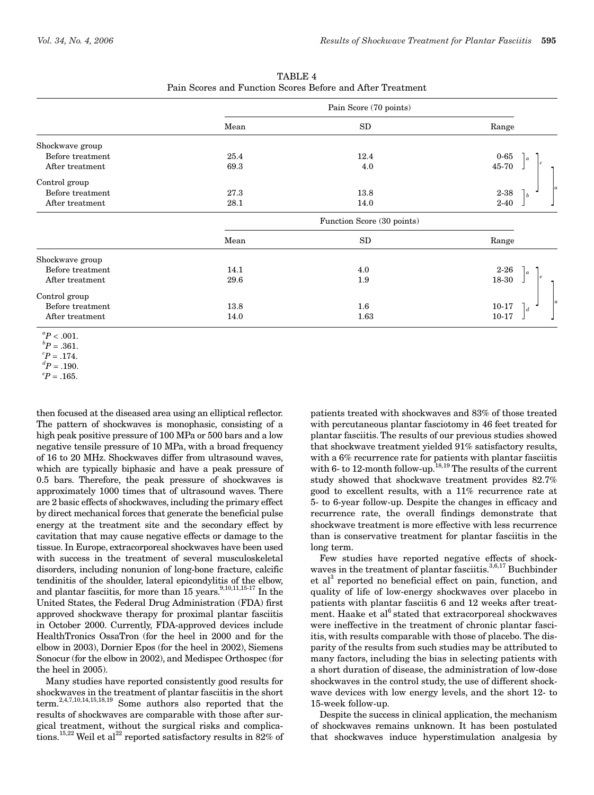|                  | Pain Score (70 points)     |            |                             |  |
|------------------|----------------------------|------------|-----------------------------|--|
|                  | Mean                       | SD         | Range                       |  |
| Shockwave group  |                            |            |                             |  |
| Before treatment | 25.4                       | 12.4       | $0-65$                      |  |
| After treatment  | 69.3                       | 4.0        | 45-70                       |  |
| Control group    |                            |            |                             |  |
| Before treatment | 27.3                       | 13.8       | $2 - 38$<br>  b             |  |
| After treatment  | 28.1                       | 14.0       | $2 - 40$                    |  |
|                  | Function Score (30 points) |            |                             |  |
|                  | Mean                       | ${\rm SD}$ | Range                       |  |
| Shockwave group  |                            |            |                             |  |
| Before treatment | 14.1                       | 4.0        | $2 - 26$                    |  |
| After treatment  | 29.6                       | 1.9        | 18-30                       |  |
| Control group    |                            |            |                             |  |
| Before treatment | 13.8                       | 1.6        | $10 - 17$<br>$\overline{d}$ |  |
| After treatment  | 14.0                       | 1.63       | $10 - 17$                   |  |

TABLE 4 Pain Scores and Function Scores Before and After Treatment

 ${}^{d}P = .190.$ 

 ${}^eP = .165.$ 

then focused at the diseased area using an elliptical reflector. The pattern of shockwaves is monophasic, consisting of a high peak positive pressure of 100 MPa or 500 bars and a low negative tensile pressure of 10 MPa, with a broad frequency of 16 to 20 MHz. Shockwaves differ from ultrasound waves, which are typically biphasic and have a peak pressure of 0.5 bars. Therefore, the peak pressure of shockwaves is approximately 1000 times that of ultrasound waves. There are 2 basic effects of shockwaves, including the primary effect by direct mechanical forces that generate the beneficial pulse energy at the treatment site and the secondary effect by cavitation that may cause negative effects or damage to the tissue. In Europe, extracorporeal shockwaves have been used with success in the treatment of several musculoskeletal disorders, including nonunion of long-bone fracture, calcific tendinitis of the shoulder, lateral epicondylitis of the elbow, and plantar fasciitis, for more than  $15$  years.<sup>9,10,11,15-17</sup> In the United States, the Federal Drug Administration (FDA) first approved shockwave therapy for proximal plantar fasciitis in October 2000. Currently, FDA-approved devices include HealthTronics OssaTron (for the heel in 2000 and for the elbow in 2003), Dornier Epos (for the heel in 2002), Siemens Sonocur (for the elbow in 2002), and Medispec Orthospec (for the heel in 2005).

Many studies have reported consistently good results for shockwaves in the treatment of plantar fasciitis in the short term.<sup>2,4,7,10,14,15,18,19</sup> Some authors also reported that the results of shockwaves are comparable with those after surgical treatment, without the surgical risks and complications.<sup>15,22</sup> Weil et al<sup>22</sup> reported satisfactory results in 82% of

patients treated with shockwaves and 83% of those treated with percutaneous plantar fasciotomy in 46 feet treated for plantar fasciitis. The results of our previous studies showed that shockwave treatment yielded 91% satisfactory results, with a 6% recurrence rate for patients with plantar fasciitis with 6- to 12-month follow-up.<sup>18,19</sup> The results of the current study showed that shockwave treatment provides 82.7% good to excellent results, with a 11% recurrence rate at 5- to 6-year follow-up. Despite the changes in efficacy and recurrence rate, the overall findings demonstrate that shockwave treatment is more effective with less recurrence than is conservative treatment for plantar fasciitis in the long term.

Few studies have reported negative effects of shockwaves in the treatment of plantar fasciitis.<sup>3,6,17</sup> Buchbinder et al<sup>3</sup> reported no beneficial effect on pain, function, and quality of life of low-energy shockwaves over placebo in patients with plantar fasciitis 6 and 12 weeks after treatment. Haake et al<sup>6</sup> stated that extracorporeal shockwaves were ineffective in the treatment of chronic plantar fasciitis, with results comparable with those of placebo. The disparity of the results from such studies may be attributed to many factors, including the bias in selecting patients with a short duration of disease, the administration of low-dose shockwaves in the control study, the use of different shockwave devices with low energy levels, and the short 12- to 15-week follow-up.

Despite the success in clinical application, the mechanism of shockwaves remains unknown. It has been postulated that shockwaves induce hyperstimulation analgesia by

 ${}^{a}P < .001$ .

 ${}^bP = .361.$ 

 ${}^{c}P = .174.$